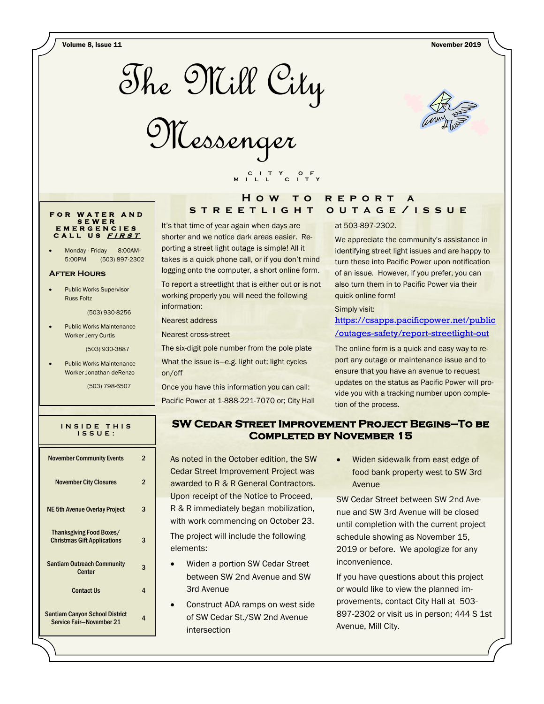Volume 8, Issue 11 November 2019







## **F O R W A T E R A N D S E W E R E M E R G E N C I E S C A L L U S <sup>F</sup> <sup>I</sup> <sup>R</sup> <sup>S</sup> <sup>T</sup>**

Monday - Friday 8:00AM-5:00PM (503) 897-2302

### **After Hours**

 Public Works Supervisor Russ Foltz

(503) 930-8256

 Public Works Maintenance Worker Jerry Curtis

(503) 930-3887

 Public Works Maintenance Worker Jonathan deRenzo

(503) 798-6507

| INSIDE THIS<br>ISSUE:                                                 |   |
|-----------------------------------------------------------------------|---|
| <b>November Community Events</b>                                      | 2 |
| <b>November City Closures</b>                                         | 2 |
| <b>NE 5th Avenue Overlay Project</b>                                  | 3 |
| <b>Thanksgiving Food Boxes/</b><br><b>Christmas Gift Applications</b> | 3 |
| <b>Santiam Outreach Community</b><br><b>Center</b>                    | 3 |
| <b>Contact Us</b>                                                     | 4 |
| <b>Santiam Canyon School District</b><br>Service Fair-November 21     | 4 |

# **H o w t o r e p o r t a s t r e e t l i g h t o u t a g e / i s s u e**

It's that time of year again when days are shorter and we notice dark areas easier. Reporting a street light outage is simple! All it takes is a quick phone call, or if you don't mind logging onto the computer, a short online form. To report a streetlight that is either out or is not working properly you will need the following information:

 **C I T Y O F M I L L C I T Y**

Nearest address

Nearest cross-street

The six-digit pole number from the pole plate What the issue is—e.g. light out; light cycles on/off

Once you have this information you can call: Pacific Power at 1-888-221-7070 or; City Hall

#### at 503-897-2302.

We appreciate the community's assistance in identifying street light issues and are happy to turn these into Pacific Power upon notification of an issue. However, if you prefer, you can also turn them in to Pacific Power via their quick online form!

Simply visit:

## [https://csapps.pacificpower.net/public](https://csapps.pacificpower.net/public/outages-safety/report-streetlight-out) [/outages-safety/report-streetlight-out](https://csapps.pacificpower.net/public/outages-safety/report-streetlight-out)

The online form is a quick and easy way to report any outage or maintenance issue and to ensure that you have an avenue to request updates on the status as Pacific Power will provide you with a tracking number upon completion of the process.

# **SW Cedar Street Improvement Project Begins—To be Completed by November 15**

As noted in the October edition, the SW Cedar Street Improvement Project was awarded to R & R General Contractors. Upon receipt of the Notice to Proceed, R & R immediately began mobilization, with work commencing on October 23. The project will include the following

elements:

- Widen a portion SW Cedar Street between SW 2nd Avenue and SW 3rd Avenue
- Construct ADA ramps on west side of SW Cedar St./SW 2nd Avenue intersection

 Widen sidewalk from east edge of food bank property west to SW 3rd Avenue

SW Cedar Street between SW 2nd Avenue and SW 3rd Avenue will be closed until completion with the current project schedule showing as November 15, 2019 or before. We apologize for any inconvenience.

If you have questions about this project or would like to view the planned improvements, contact City Hall at 503- 897-2302 or visit us in person; 444 S 1st Avenue, Mill City.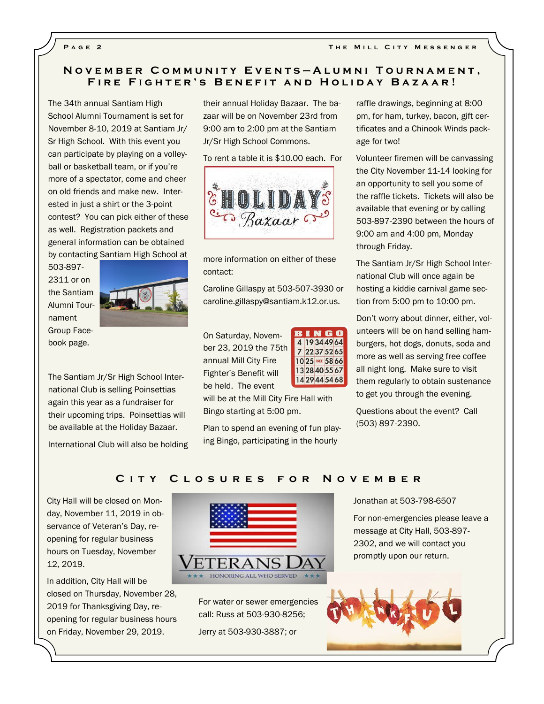# **N o v e m b e r C o m m u n i t y E v e n t s — A l u m n i T o u r n a m e n t , FIRE FIGHTER'S BENEFIT AND HOLIDAY BAZAAR!**

The 34th annual Santiam High School Alumni Tournament is set for November 8-10, 2019 at Santiam Jr/ Sr High School. With this event you can participate by playing on a volleyball or basketball team, or if you're more of a spectator, come and cheer on old friends and make new. Interested in just a shirt or the 3-point contest? You can pick either of these as well. Registration packets and general information can be obtained by contacting Santiam High School at

503-897- 2311 or on the Santiam Alumni Tournament Group Facebook page.



The Santiam Jr/Sr High School International Club is selling Poinsettias again this year as a fundraiser for their upcoming trips. Poinsettias will be available at the Holiday Bazaar.

International Club will also be holding

their annual Holiday Bazaar. The bazaar will be on November 23rd from 9:00 am to 2:00 pm at the Santiam Jr/Sr High School Commons.

To rent a table it is \$10.00 each. For



more information on either of these contact:

Caroline Gillaspy at 503-507-3930 or caroline.gillaspy@santiam.k12.or.us.

On Saturday, November 23, 2019 the 75th annual Mill City Fire Fighter's Benefit will be held. The event

**BINGO** 4 19 34 49 64 7 22 37 52 65 10 25 FREE 58 66 13 28 40 55 67 1429445468

will be at the Mill City Fire Hall with Bingo starting at 5:00 pm.

Plan to spend an evening of fun playing Bingo, participating in the hourly

raffle drawings, beginning at 8:00 pm, for ham, turkey, bacon, gift certificates and a Chinook Winds package for two!

Volunteer firemen will be canvassing the City November 11-14 looking for an opportunity to sell you some of the raffle tickets. Tickets will also be available that evening or by calling 503-897-2390 between the hours of 9:00 am and 4:00 pm, Monday through Friday.

The Santiam Jr/Sr High School International Club will once again be hosting a kiddie carnival game section from 5:00 pm to 10:00 pm.

Don't worry about dinner, either, volunteers will be on hand selling hamburgers, hot dogs, donuts, soda and more as well as serving free coffee all night long. Make sure to visit them regularly to obtain sustenance to get you through the evening.

Questions about the event? Call (503) 897-2390.

## **C i t y C l o s u r e s f o r N o v e m b e r**

City Hall will be closed on Monday, November 11, 2019 in observance of Veteran's Day, reopening for regular business hours on Tuesday, November 12, 2019.

In addition, City Hall will be closed on Thursday, November 28, 2019 for Thanksgiving Day, reopening for regular business hours on Friday, November 29, 2019.



For water or sewer emergencies call: Russ at 503-930-8256;

Jerry at 503-930-3887; or

Jonathan at 503-798-6507

For non-emergencies please leave a message at City Hall, 503-897- 2302, and we will contact you promptly upon our return.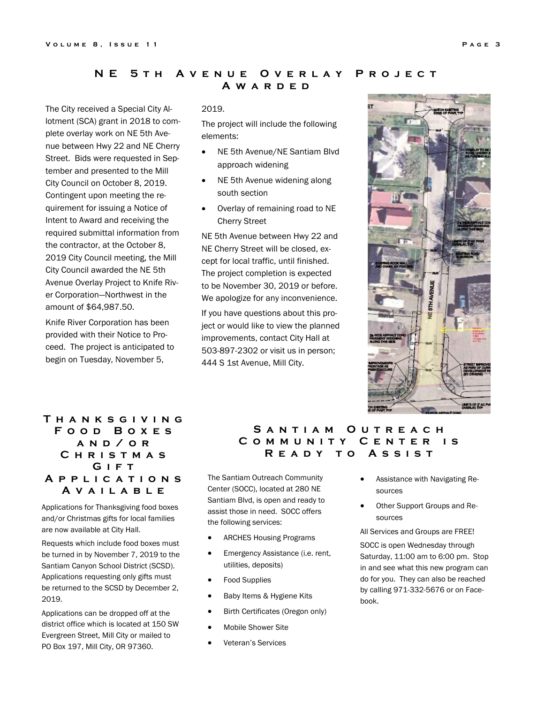## **NE 5TH AVENUE OVERLAY PROJECT A w a r d e d**

The City received a Special City Allotment (SCA) grant in 2018 to complete overlay work on NE 5th Avenue between Hwy 22 and NE Cherry Street. Bids were requested in September and presented to the Mill City Council on October 8, 2019. Contingent upon meeting the requirement for issuing a Notice of Intent to Award and receiving the required submittal information from the contractor, at the October 8, 2019 City Council meeting, the Mill City Council awarded the NE 5th Avenue Overlay Project to Knife River Corporation—Northwest in the amount of \$64,987.50.

Knife River Corporation has been provided with their Notice to Proceed. The project is anticipated to begin on Tuesday, November 5,

#### 2019.

The project will include the following elements:

- NE 5th Avenue/NE Santiam Blvd approach widening
- NE 5th Avenue widening along south section
- Overlay of remaining road to NE Cherry Street

NE 5th Avenue between Hwy 22 and NE Cherry Street will be closed, except for local traffic, until finished. The project completion is expected to be November 30, 2019 or before. We apologize for any inconvenience.

If you have questions about this project or would like to view the planned improvements, contact City Hall at 503-897-2302 or visit us in person; 444 S 1st Avenue, Mill City.



# **T h a n k s g i v i n g F o o d B o x e s a n d / o r C h r i s t m a s G i f t A p p l i c a t i o n s A v a i l a b l e**

Applications for Thanksgiving food boxes and/or Christmas gifts for local families are now available at City Hall.

Requests which include food boxes must be turned in by November 7, 2019 to the Santiam Canyon School District (SCSD). Applications requesting only gifts must be returned to the SCSD by December 2, 2019.

Applications can be dropped off at the district office which is located at 150 SW Evergreen Street, Mill City or mailed to PO Box 197, Mill City, OR 97360.

## SANTIAM OUTREACH COMMUNITY CENTER IS **R e a d y t o A s s i s t**

The Santiam Outreach Community Center (SOCC), located at 280 NE Santiam Blvd, is open and ready to assist those in need. SOCC offers the following services:

- ARCHES Housing Programs
- **•** Emergency Assistance (i.e. rent, utilities, deposits)
- Food Supplies
- Baby Items & Hygiene Kits
- Birth Certificates (Oregon only)
- Mobile Shower Site
- Veteran's Services
- Assistance with Navigating Resources
- Other Support Groups and Resources

All Services and Groups are FREE!

SOCC is open Wednesday through Saturday, 11:00 am to 6:00 pm. Stop in and see what this new program can do for you. They can also be reached by calling 971-332-5676 or on Facebook.